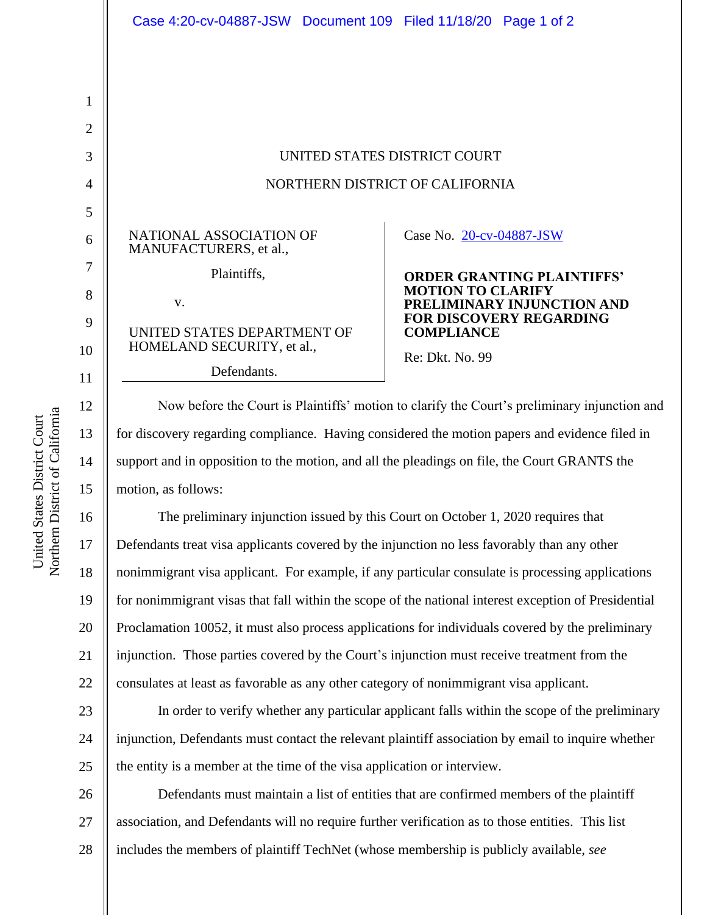|              | Case 4:20-cv-04887-JSW Document 109 Filed 11/18/20 Page 1 of 2                                       |                                                        |
|--------------|------------------------------------------------------------------------------------------------------|--------------------------------------------------------|
|              |                                                                                                      |                                                        |
|              |                                                                                                      |                                                        |
| $\mathbf{1}$ |                                                                                                      |                                                        |
| 2            |                                                                                                      |                                                        |
| 3            | UNITED STATES DISTRICT COURT                                                                         |                                                        |
| 4            | NORTHERN DISTRICT OF CALIFORNIA                                                                      |                                                        |
| 5            |                                                                                                      |                                                        |
| 6            | NATIONAL ASSOCIATION OF<br>MANUFACTURERS, et al.,                                                    | Case No. 20-cv-04887-JSW                               |
| 7            | Plaintiffs,                                                                                          | <b>ORDER GRANTING PLAINTIFFS'</b>                      |
| 8            | V.                                                                                                   | <b>MOTION TO CLARIFY</b><br>PRELIMINARY INJUNCTION AND |
| 9            | UNITED STATES DEPARTMENT OF                                                                          | <b>FOR DISCOVERY REGARDING</b><br><b>COMPLIANCE</b>    |
| 10           | HOMELAND SECURITY, et al.,                                                                           | Re: Dkt. No. 99                                        |
| 11           | Defendants.                                                                                          |                                                        |
| 12           | Now before the Court is Plaintiffs' motion to clarify the Court's preliminary injunction and         |                                                        |
| 13           | for discovery regarding compliance. Having considered the motion papers and evidence filed in        |                                                        |
| 14           | support and in opposition to the motion, and all the pleadings on file, the Court GRANTS the         |                                                        |
| 15           | motion, as follows:                                                                                  |                                                        |
| 16           | The preliminary injunction issued by this Court on October 1, 2020 requires that                     |                                                        |
| 17           | Defendants treat visa applicants covered by the injunction no less favorably than any other          |                                                        |
| 18           | nonimmigrant visa applicant. For example, if any particular consulate is processing applications     |                                                        |
| 19           | for nonimmigrant visas that fall within the scope of the national interest exception of Presidential |                                                        |
| 20           | Proclamation 10052, it must also process applications for individuals covered by the preliminary     |                                                        |
| 21           | injunction. Those parties covered by the Court's injunction must receive treatment from the          |                                                        |
| 22           | consulates at least as favorable as any other category of nonimmigrant visa applicant.               |                                                        |
| 23           | In order to verify whether any particular applicant falls within the scope of the preliminary        |                                                        |

24 25 injunction, Defendants must contact the relevant plaintiff association by email to inquire whether the entity is a member at the time of the visa application or interview.

26 27 28 Defendants must maintain a list of entities that are confirmed members of the plaintiff association, and Defendants will no require further verification as to those entities. This list includes the members of plaintiff TechNet (whose membership is publicly available, *see*

Northern District of California Northern District of California United States District Court United States District Court